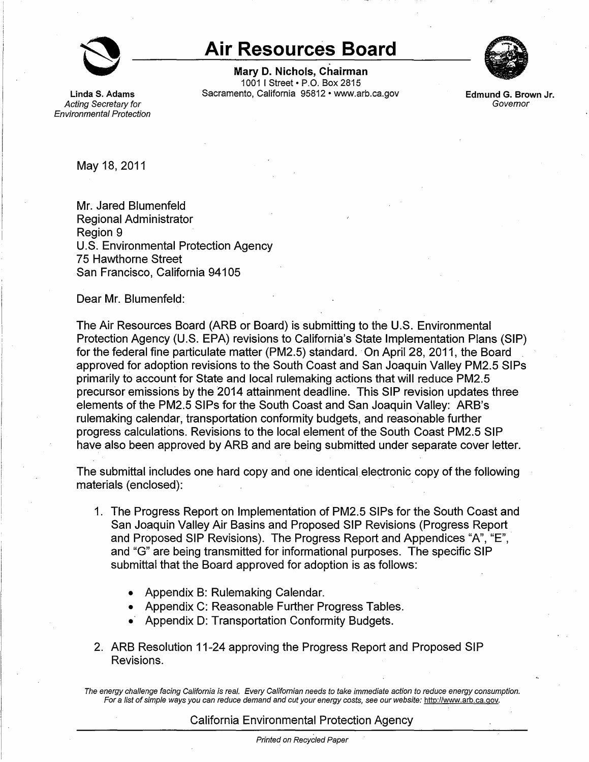

Acting Secretary for Environmental Protection

## **Air Resources Board**

**Mary D. Nichols, Chairman**  1001 I Street• P.O. Box 2815 **Linda S. Adams** Sacramento, California 95812 • <www.arb.ca.gov>



**Edmund G. Brown Jr. Govemor** 

May 18, 2011

Mr. Jared Blumenfeld Regional Administrator Region 9 U.S. Environmental Protection Agency 75 Hawthorne Street San Francisco, California 94105

Dear Mr. Blumenfeld:

The Air Resources Board (ARB or Board) is submitting to the U.S. Environmental Protection Agency (U.S. EPA) revisions to California's State Implementation Plans (SIP) for the federal fine particulate matter (PM2.5) standard. ·On April 28, 2011, the Board approved for adoption revisions to the South Coast and San Joaquin Valley PM2.5 SIPs primarily to account for State and local rulemaking actions that will reduce PM2.5 precursor emissions by the 2014 attainment deadline. This SIP revision updates three elements of the PM2.5 SIPs for the South Coast and San Joaquin Valley: ARB's rulemaking calendar, transportation conformity budgets, and reasonable further progress calculations. Revisions to the local element of the South Coast PM2.5 SIP have also been approved by ARB and are being submitted under separate cover letter.

The submittal includes one hard copy and one identical electronic copy of the following materials (enclosed):

- 1. The Progress Report on Implementation of PM2.5 SIPs for the South Coast and San Joaquin Valley Air Basins and Proposed SIP Revisions (Progress Report and Proposed SIP Revisions). The Progress Report and Appendices "A", "E", and "G" are being transmitted for informational purposes. The specific SIP submittal that the Board approved for adoption is as follows:
	- Appendix B: Rulemaking Calendar.
	- Appendix C: Reasonable Further Progress Tables.
	- Appendix D: Transportation Conformity Budgets.
- 2. ARB Resolution 11-24 approving the Progress Report and Proposed SIP Revisions.

The energy challenge facing California is real. Every Californian needs to take immediate action to reduce energy consumption. For a list of simple ways you can reduce demand and cut your energy costs, see our website: [http://www.arb.ca.gov.](http://www.arb.ca.gov)

## California Environmental Protection Agency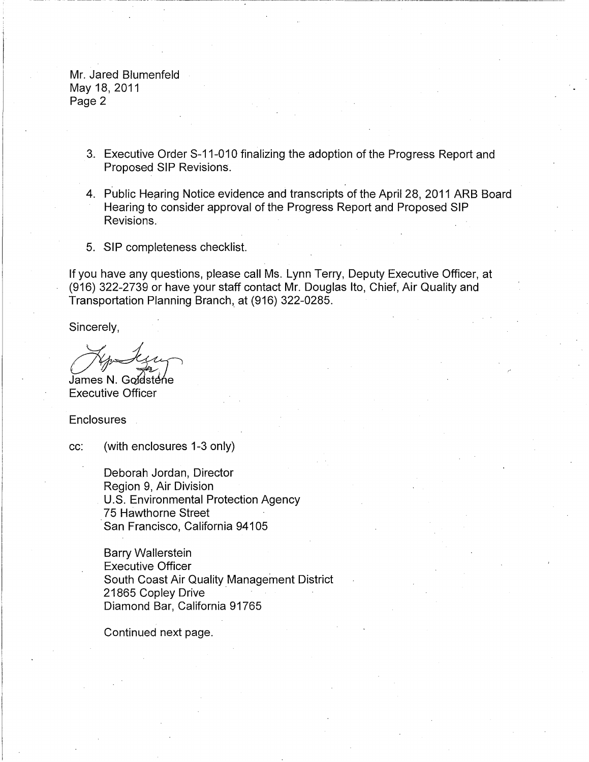Mr. Jared Blumenfeld May 18, 2011 Page 2

- 3. Executive Order S-11-010 finalizing the adoption of the Progress Report and Proposed SIP Revisions.
- 4. Public Hearing Notice evidence and transcripts of the April 28, 2011 ARB Board Hearing to consider approval of the Progress Report and Proposed SIP Revisions.
- 5. SIP completeness checklist.

If you have any questions, please call Ms. Lynn Terry, Deputy Executive Officer, at (916) 322-2739 or have your staff contact Mr. Douglas Ito, Chief, Air Quality and Transportation Planning Branch, at (916) 322-0285.<br>
Sincerely,<br>
James N. Godstene<br>
Executive Officer

Sincerely,

Executive Officer

**Enclosures** 

cc: (with enclosures 1-3 only)

Deborah Jordan, Director Region 9, Air Division U.S. Environmental Protection Agency 75 Hawthorne Street San Francisco, California 94105

Barry Wallerstein Executive Officer South Coast Air Quality Management District 21865 Copley Drive Diamond Bar, California 91765

Continued next page.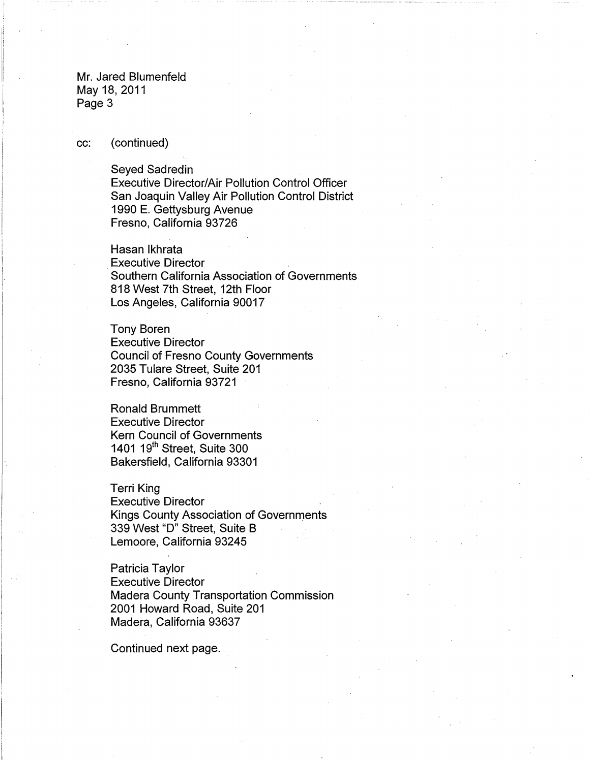Mr. Jared Blumenfeld May 18, 2011 Page 3

cc: (continued)

## Seyed Sadredin

Executive Director/Air Pollution Control Officer San Joaquin Valley Air Pollution Control District 1990 E. Gettysburg Avenue Fresno, California 93726

Hasan lkhrata Executive Director Southern California Association of Governments 818 West 7th Street, 12th Floor Los Angeles, California 90017

Tony Boren Executive Director Council of Fresno County Governments 2035 Tulare Street, Suite 201 Fresno, California 93721

Ronald Brummett Executive Director Kern Council of Governments 1401 19<sup>th</sup> Street, Suite 300 Bakersfield, California 93301

Terri King Executive Director Kings County Association of Governments 339 West "D" Street, Suite B Lemoore, California 93245

Patricia Taylor Executive Director Madera County Transportation Commission 2001 Howard Road, Suite 201 Madera, California 93637

Continued next page.